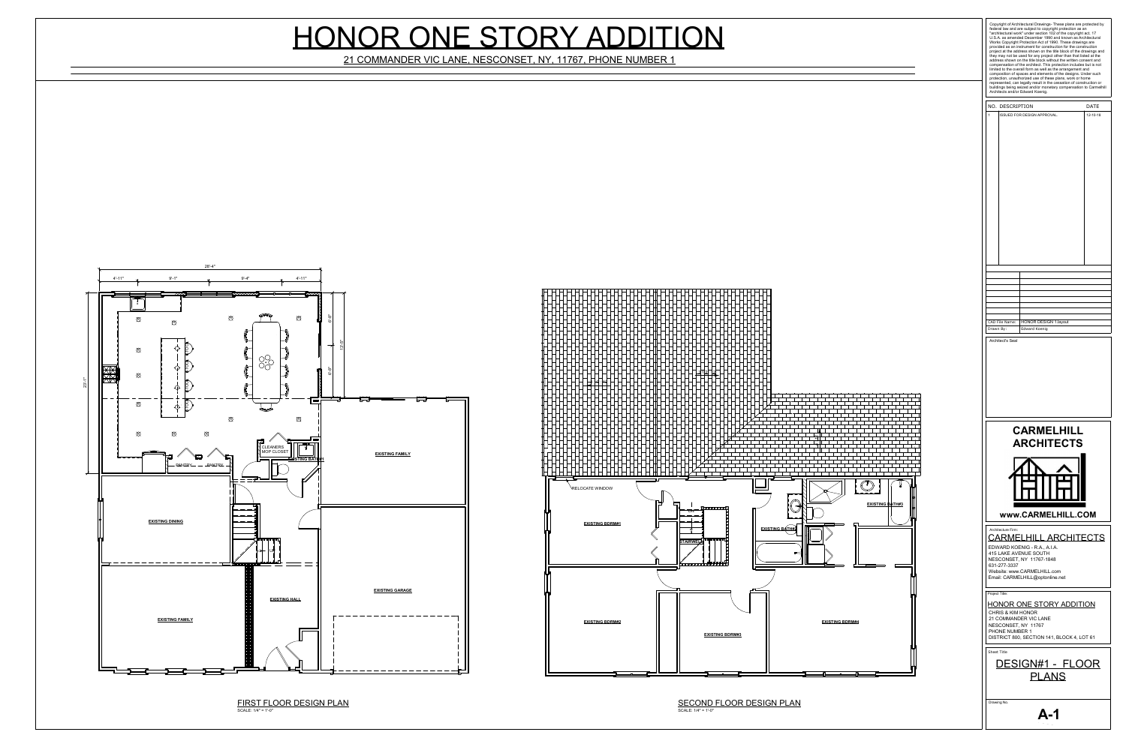

SCALE: 1/4" = 1'-0"





## HONOR ONE STORY ADDITION

21 COMMANDER VIC LANE, NESCONSET, NY, 11767, PHONE NUMBER 1

|                                                                                                                                                                                                                                      | buildings being seized and/or monetary compensation to Carmelhill |
|--------------------------------------------------------------------------------------------------------------------------------------------------------------------------------------------------------------------------------------|-------------------------------------------------------------------|
| NO. DESCRIPTION<br>$\mathbf{1}$<br><b>ISSUED FOR DESIGN APPROVAL.</b>                                                                                                                                                                | <b>DATE</b><br>$12 - 10 - 18$                                     |
|                                                                                                                                                                                                                                      |                                                                   |
|                                                                                                                                                                                                                                      |                                                                   |
| <b>HONOR DESIGN 1.layout</b><br>CAD File Name:<br><b>Edward Koenig</b><br>Drawn By:                                                                                                                                                  |                                                                   |
| <b>CARMELHILL</b><br><b>ARCHITECTS</b>                                                                                                                                                                                               |                                                                   |
| www.CARMELHILL.COM<br>Architecture Firm:<br><b>CARMELHILL ARCHITECTS</b><br>EDWARD KOENIG - R.A., A.I.A.<br><b>415 LAKE AVENUE SOUTH</b><br>NESCONSET, NY 11767-1848<br>631-277-3337<br>Website: www.CARMELHILL.com                  |                                                                   |
|                                                                                                                                                                                                                                      |                                                                   |
| Email: CARMELHILL@optonline.net<br>Project Title:<br><u>HONOR ONE STORY ADDITION</u><br><b>CHRIS &amp; KIM HONOR</b><br>21 COMMANDER VIC LANE<br>NESCONSET, NY 11767<br>PHONE NUMBER 1<br>DISTRICT 800, SECTION 141, BLOCK 4, LOT 61 |                                                                   |
| <b>Sheet Title</b><br>DESIGN#1 - FLOOR<br><b>PLANS</b>                                                                                                                                                                               |                                                                   |